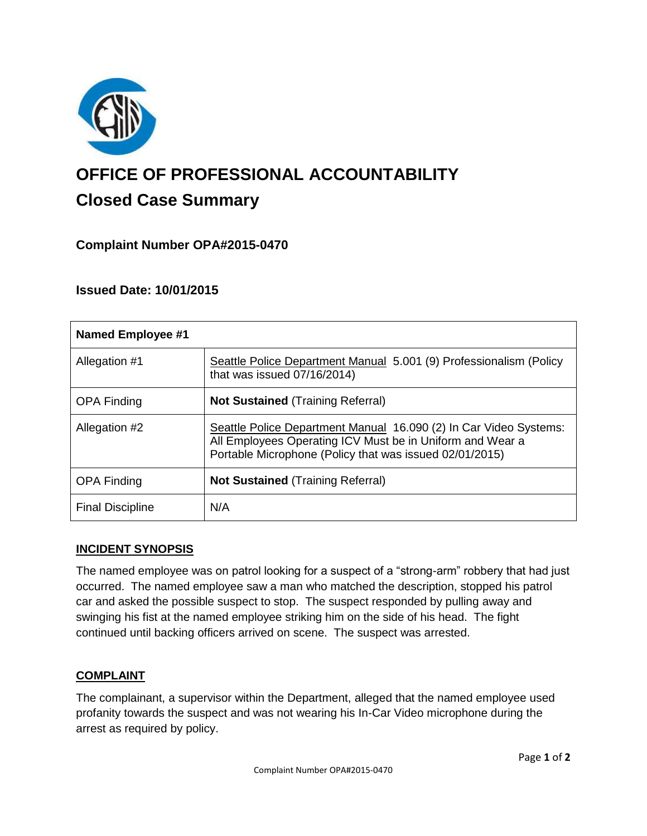

# **OFFICE OF PROFESSIONAL ACCOUNTABILITY Closed Case Summary**

## **Complaint Number OPA#2015-0470**

## **Issued Date: 10/01/2015**

| <b>Named Employee #1</b> |                                                                                                                                                                                           |
|--------------------------|-------------------------------------------------------------------------------------------------------------------------------------------------------------------------------------------|
| Allegation #1            | Seattle Police Department Manual 5.001 (9) Professionalism (Policy<br>that was issued 07/16/2014)                                                                                         |
| <b>OPA Finding</b>       | <b>Not Sustained (Training Referral)</b>                                                                                                                                                  |
| Allegation #2            | Seattle Police Department Manual 16.090 (2) In Car Video Systems:<br>All Employees Operating ICV Must be in Uniform and Wear a<br>Portable Microphone (Policy that was issued 02/01/2015) |
| <b>OPA Finding</b>       | <b>Not Sustained (Training Referral)</b>                                                                                                                                                  |
| <b>Final Discipline</b>  | N/A                                                                                                                                                                                       |

#### **INCIDENT SYNOPSIS**

The named employee was on patrol looking for a suspect of a "strong-arm" robbery that had just occurred. The named employee saw a man who matched the description, stopped his patrol car and asked the possible suspect to stop. The suspect responded by pulling away and swinging his fist at the named employee striking him on the side of his head. The fight continued until backing officers arrived on scene. The suspect was arrested.

#### **COMPLAINT**

The complainant, a supervisor within the Department, alleged that the named employee used profanity towards the suspect and was not wearing his In-Car Video microphone during the arrest as required by policy.